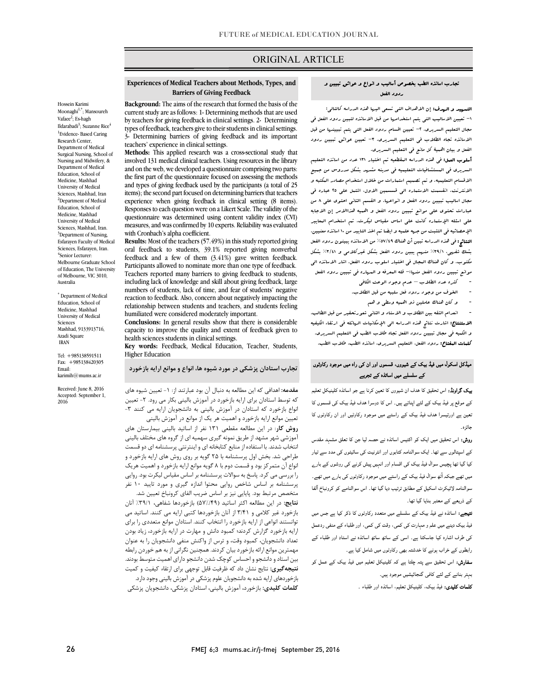# ORIGINAL ARTICLE

### **Barriers of Giving Feedback Experiences of Medical Teachers about Methods, Types, and**

Ī

Hossein Karimi Moonaghi<sup>1,\*</sup>; Mansoureh Vafaee<sup>2</sup>; Es-hagh Ildarabadi<sup>3</sup>; Suzanne Rice<sup>4</sup> <sup>1</sup>Evidence-Based Caring Research Center, Department of Medical Surgical Nursing, School of Nursing and Midwifery, & Department of Medical Education, School of Medicine, Mashhad University of Medical Sciences, Mashhad, Iran <sup>2</sup>Department of Medical Education, School of Medicine, Mashhad University of Medical Sciences, Mashhad, Iran. <sup>3</sup>Department of Nursing, Esfarayen Faculty of Medical Sciences, Esfarayen, Iran. 4 Senior Lecturer: Melbourne Graduate School of Education, The University of Melbourne, VIC 3010, Australia

\* Department of Medical Education, School of Medicine, Mashhad University of Medical Sciences Mashhad, 9133913716, Azadi Square IRAN

Tel: +985138591511 Fax: +985138420305 Email: karimih@mums.ac.ir

Received: June 8, 2016 Accepted: September 1, 2016

 **Background:** The aims of the research that formed the basis of the current study are as follows: 1- Determining methods that are used by teachers for giving feedback in clinical settings. 2- Determining <sup>3</sup>- Determining barriers of giving feedback and its important types of feedback, teachers give to their students in clinical settings. teachers' experience in clinical settings.

 **Methods:** This applied research was a cross-sectional study that involved 131 medical clinical teachers. Using resources in the library and on the web, we developed a questionnaire comprising two parts: and types of giving feedback used by the participants (a total of 25 items); the second part focused on determining barriers that teachers Responses to each question were on a Likert Scale. The validity of the questionnaire was determined using content validity index (CVI) measures, and was confirmed by 10 experts. Reliability was evaluated<br>right Canalization algebra as efficient. the first part of the questionnaire focused on assessing the methods experience when giving feedback in clinical setting (8 items). with Cronbach's alpha coefficient.

 **Results:** Most of the teachers (57.49%) in this study reported giving oral feedback to students, 39.1% reported giving nonverbal Participants allowed to nominate more than one type of feedback. Teachers reported many barriers to giving feedback to students, numbers of students, lack of time, and fear of students' negative reaction to feedback. Also, concern about negatively impacting the humiliated were considered moderately important. feedback and a few of them (3.41%) gave written feedback. including lack of knowledge and skill about giving feedback, large relationship between students and teachers, and students feeling

 **Conclusions:** In general results show that there is considerable capacity to improve the quality and extent of feedback given to<br>health sciences students in clinical settings health sciences students in clinical settings.

 **Key words:** Feedback, Medical Education, Teacher, Students, Higher Education

**تجارب استادان پزشکی در مورد شیوه ها، انواع و موانع ارایه بازخورد**

معدمه. استادی که این مصابعه به دلبان ان بود عبارتند از. 1- تعیین سیوه های<br>که توسط استادان برای ارایه بازخورد در آموزش بالینی بکار می رود. ۲- تعیین انواع بازخورد که استادان در آموزش بالینی به دانشجویان ارایه می کنند -3 تعیین موانع ارایه بازخورد و اهمیت هر یک از موانع در آموزش بالینی **روش کار**: در این مطالعه مقطعی 131 نفر از اساتید بالینی بیمارستان هاي امورسی سهر مسهد از صریق نمونه نیزی سهمیه ای از نروه های محتلف بابیتی<br>انتخاب شدند. با استفاده از منابع کتابخانه ای و اینترنتی پرسشنامه ای دو قسمت طراحی شد. بخش اول پرسشنامه با 25 گویه بر روي روش هاي ارایه بازخورد و انواع آن متمرکز بود و قسمت دوم با 8 گویه موانع ارایه بازخورد و اهمیت هریک را بررسی می کرد. پاسخ به سوالات پرسشنامه بر اساس مقیاس لیکرت بود. روایی پرسستاند بر اساس سه عن روایی ماحوا اساره عیری و مورد دییه<br>متخصص مرتبط بود. پایایی نیز بر اساس ضریب الفای کرونباخ تعیین شد. **مقدمه:** اهدافی که این مطالعه به دنبال آن بود عبارتند از: -1 تعیین شیوه هاي آموزشی شهر مشهد از طریق نمونه گیري سهمیه اي از گروه هاي مختلف بالینی پرسشنامه بر اساس شاخص روایی محتوا اندازه گیري و مورد تایید 10 نفر

 **نتایج:** در این مطالعه اکثر اساتید (57%/49) بازخوردها شفاهی، %39/1 آنان بازخورد غیر کلامی و 3/41 از آنان بازخوردها کتبی ارایه می کنند. اساتید می توانستند انواعی از ارایه بازخورد را انتخاب کنند. استادان موانع متعددي را براي رید بر توره ترارس ترقید، کنترو تانش و تهارت در ارایه باز تورد، ریته بودن<br>تعداد دانشجویان، کمبود وقت، و ترس از واکنش منفی دانشجویان را به عنوان مهمترین موانع ارائه بازخورد بیان کردند. همچنین نگرانی از به هم خوردن رابطه بین استاد و دانشجو و احساس کوچک شدن دانشجو داراي اهمیت متوسط بودند. **نتیجهگیري:** نتایج نشان داد که ظرفیت قابل توجهی براي ارتقاء کیفیت و کمیت بر بررستی <sub>(زیر</sub> ستیم مستقرین بو<sub>ر ای</sub>رستی بر مورس بنیتی و بود در .<br>**کلمات کلیدی:** بازخورد، آموزش بالینی، استادان پزشکی، دانشجویان پزشکی ارایه بازخورد گزارش کردند؛ کمبود دانش و مهارت در ارایه بازخورد، زیاد بودن بازخوردهاي ارایه شده به دانشجویان علوم پزشکی در آموزش بالینی وجود دارد.

### تجارب اساتذه الطب بخصوص أسالیب و انواع و عوائق تبیین و ردود الفعل

ص

**التسهید و الهدف:** إن الاهداف الت<sub>ی</sub> تسع<sub>ی</sub> الیها هذه الدراسه کالتال<sub>ی</sub>: -1 تعیین الاسالیب التی یتم استخدامها من قبل الاساتذه لتبین ردود الفعل فی الاساتذه تجاه الطلاب فی التعلیم السریري. -3 تعیین عوائق تبیین ردود الفعل و بیان اهمیۀ کل مانع فی التعلیم السریري. مجال التعلیم السریري. -2 تعیین اقسام ردود الفعل التی یتم تبیینها من قبل

.<br>**أسلوب العمل:** فی هذه الدراسه المقطعیه تم اختیار ١٣١ عدد من اساتذه التعلیم السریري فی المستشافیات التعلیمیه فی مدینه مشهد بشکل مدروس من جمیع الاقسام التعلیمیه. و تم تصمیم استمارات من خلال استخدام مصادر المکتبه و الانترنت. انقسمت الاستماره الی قسسمین الاول، اشتمل علی 25 عباره فی مجال اسالیب تبیین ردود الفعل و انواعها. و القسم الثانی احتوي علی 8 من علی اسئله الإستماره کانت علی اساس مقیاس لیکرت. تم استخدام المعاییر الإحصائیه فی التثبت من جهه علمیه و ایضا تم اخذ التایید من 10 اساتذه معنیین. النتائج: فی هذه الدراسه تبین أن هناك %57/49 من الاساتذه یبینون ردود الفعل بشک شفهی، %39/1 منهم یبین ردود الفعل بشکل غیرکلامی و %3/41 بشکل مکتوب. و کان هناك المجال فی اختیار اسلوب ردود الفعل. اشار الاساتذه الی موانع تبیین ردود الفعل منها-: قله المعرفه و المهاره فی تبیین ردود الفعل عبارات تحتوي علی موانع تبیین ردود الفعل و اهمیه هذاالامر إن الاجابه

- کثره عدد الطلاب عدم وجود الوعت الکافی
- - الخوف من وجود ردود فعل سلبیه من قبل الطلاب.
	- و کان هناك عاملین ذو اهمیه وسطی و هم

 - انعدام الثقه بین الطلاب و الاستاد و الثانی شعورتحقیر من قبل الطالب. الاستنتاج: اشارت نتائج هذه الدراسه الی الإمکانیات الهائله فی ارتقاء الکیفیه و الکمیه فی مجال تبیین ردود الفعل تجاه طلاب الطب فی التعلیم السریري. کلمات المفتاح: ردود الفعل، التعلیم السریري، اساتذه الطب، طلاب الطب.

#### ֦ میڈکل اسکول میں فیڈ بیک کے شیووں، قسموں اور ان کی راہ میں موجود رکاوٹوں<br>میں اسکول میں فیڈ بیک کے لیے میں ایسن کے میں کے سلسلے میں اساتذہ کے تجربے

**بیک گراونڈ:** اس تحقیق کا ہدف ان شیووں کا تعین کرنا ہے جو اساتذہ کلینیکل تعلیم<br>۔ کے موقع پر فیڈ بیک کے لئے اپناتے ہیں۔ اس کا دوسرا ہدف فیڈ بیک کی قسموں کا نعین ہے اورتیسرا ہدف فیڈ بیک کے راستے میں موجود رکاوٹیں اور ان رکاوٹوں کا جائز ہ۔

**روش:** اس تحقیق میں ایک کو اکتیس اساتذہ نے حصہ لیا جن کا تعلق مشہد مقدس کے اسپتالوں سے تھا۔ ایک سوالنامہ کتابوں اور انٹرنیت کی سائیٹوں کی مدد سے تیار کیا گیا تھا پچیس سوال فیڈ بیک کی اقسام اور انہیں پیش کرنے کی روشوں کے بارے میں تھے جبکہ آٹھ سوال فیڈ بیک کے راستے میں موجود رکاوٹوں کی بارے میں تھے۔ سوالنامہ لائیکرٹ اسکیل کے مطابق ترتیب دیا گیا تھا۔ اس سوالنامے کو کرونباخ آلفا کے ذریعے کے معتبر بنایا گیا تھا۔

**نتیجے:** اساتذہ نے فیڈ بیک کے سلسلے میں متعدد رکاوٹوں کا ذکر کیا ہے جس میں فیڈ بیک دینے میں علم و مہارت کی کمی، وقت کی کمی، اور طلباء کے منفی ردعمل کی طرف اشارہ کیا جاسکتا ہے۔ اسی کے ساتھ ساتھ اساتذہ نے استاد اور طلباء کے رابطوں کے خراب ہونے کا خدشتہ بھی رکاوٹوں میں شامل کیا ہے۔

**سفارش:** اس تحقیق سے پتہ چلتا ہے کہ کلینیکل تعلیم میں فیڈ بیک کے عمل کو <sub>۔</sub><br>بہتر بنانے کے لئے کافی گنجائیشیں موجود ہیں۔

**کلمات کلیدی:** فیڈ بیک، کلینیکل تعلیم، اساتذہ اور طلباء ۔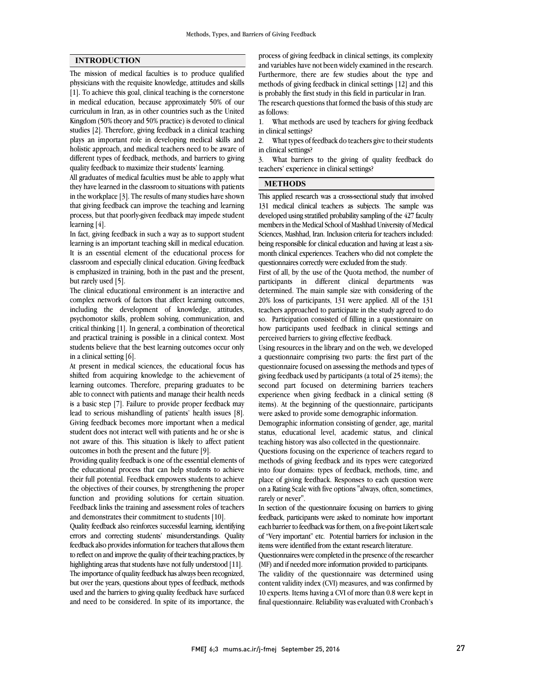### **INTRODUCTION**

The mission of medical faculties is to produce qualified physicians with the requisite knowledge, attitudes and skills [1]. To achieve this goal, clinical teaching is the cornerstone in medical education, because approximately 50% of our curriculum in Iran, as in other countries such as the United Kingdom (50% theory and 50% practice) is devoted to clinical studies [2]. Therefore, giving feedback in a clinical teaching plays an important role in developing medical skills and holistic approach, and medical teachers need to be aware of different types of feedback, methods, and barriers to giving quality feedback to maximize their students' learning.

All graduates of medical faculties must be able to apply what they have learned in the classroom to situations with patients in the workplace [3]. The results of many studies have shown that giving feedback can improve the teaching and learning process, but that poorly-given feedback may impede student learning [4].

In fact, giving feedback in such a way as to support student learning is an important teaching skill in medical education. It is an essential element of the educational process for classroom and especially clinical education. Giving feedback is emphasized in training, both in the past and the present, but rarely used [5].

The clinical educational environment is an interactive and complex network of factors that affect learning outcomes, including the development of knowledge, attitudes, psychomotor skills, problem solving, communication, and critical thinking [1]. In general, a combination of theoretical and practical training is possible in a clinical context. Most students believe that the best learning outcomes occur only in a clinical setting [6].

At present in medical sciences, the educational focus has shifted from acquiring knowledge to the achievement of learning outcomes. Therefore, preparing graduates to be able to connect with patients and manage their health needs is a basic step [7]. Failure to provide proper feedback may lead to serious mishandling of patients' health issues [8]. Giving feedback becomes more important when a medical student does not interact well with patients and he or she is not aware of this. This situation is likely to affect patient outcomes in both the present and the future [9].

Providing quality feedback is one of the essential elements of the educational process that can help students to achieve their full potential. Feedback empowers students to achieve the objectives of their courses, by strengthening the proper function and providing solutions for certain situation. Feedback links the training and assessment roles of teachers and demonstrates their commitment to students [10].

Quality feedback also reinforces successful learning, identifying errors and correcting students' misunderstandings. Quality feedback also provides information for teachers that allows them to reflect on and improve the quality of their teaching practices, by highlighting areas that students have not fully understood [11]. The importance of quality feedback has always been recognized, but over the years, questions about types of feedback, methods used and the barriers to giving quality feedback have surfaced and need to be considered. In spite of its importance, the

 process of giving feedback in clinical settings, its complexity and variables have not been widely examined in the research. Furthermore, there are few studies about the type and methods of giving feedback in clinical settings [12] and this is probably the first study in this field in particular in Iran.

The research questions that formed the basis of this study are as follows:

 1. What methods are used by teachers for giving feedback in clinical settings?

 in clinical settings? 2. What types of feedback do teachers give to their students

 3. What barriers to the giving of quality feedback do teachers' experience in clinical settings?

## **METHODS**

 This applied research was a cross-sectional study that involved 131 medical clinical teachers as subjects. The sample was developed using stratified probability sampling of the 427 faculty members in the Medical School of Mashhad University of Medical being responsible for clinical education and having at least a six- month clinical experiences. Teachers who did not complete the questionnaires correctly were excluded from the study. Sciences, Mashhad, Iran. Inclusion criteria for teachers included:

 First of all, by the use of the Quota method, the number of determined. The main sample size with considering of the 20% loss of participants, 131 were applied. All of the 131 teachers approached to participate in the study agreed to do how participants used feedback in clinical settings and perceived barriers to giving effective feedback. participants in different clinical departments was so. Participation consisted of filling in a questionnaire on

 Using resources in the library and on the web, we developed a questionnaire comprising two parts: the first part of the giving feedback used by participants (a total of 25 items); the second part focused on determining barriers teachers experience when giving feedback in a clinical setting (8 items). At the beginning of the questionnaire, participants questionnaire focused on assessing the methods and types of were asked to provide some demographic information.

 Demographic information consisting of gender, age, marital status, educational level, academic status, and clinical teaching history was also collected in the questionnaire.

 Questions focusing on the experience of teachers regard to into four domains: types of feedback, methods, time, and place of giving feedback. Responses to each question were on a Rating Scale with five options "always, often, sometimes, rarely or never". methods of giving feedback and its types were categorized

 feedback, participants were asked to nominate how important each barrier to feedback was for them, on a five-point Likert scale of "Very important" etc. Potential barriers for inclusion in the items were identified from the extant research literature. In section of the questionnaire focusing on barriers to giving

 (MF) and if needed more information provided to participants. Questionnaires were completed in the presence of the researcher

 The validity of the questionnaire was determined using content validity index (CVI) measures, and was confirmed by 10 experts. Items having a CVI of more than 0.8 were kept in final questionnaire. Reliability was evaluated with Cronbach's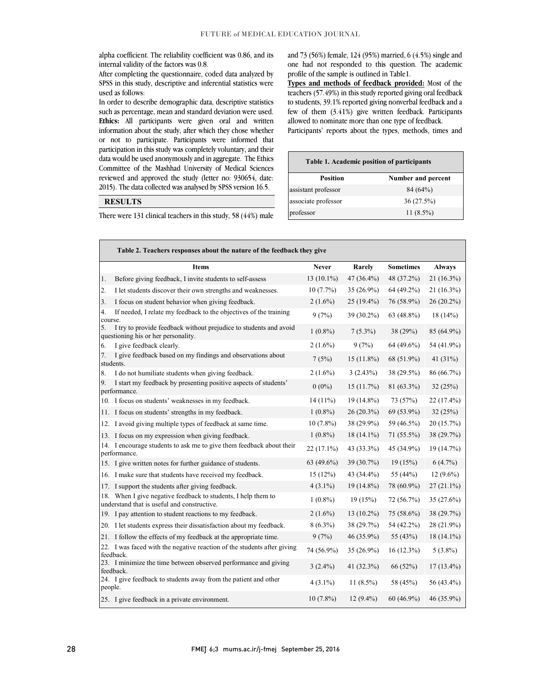alpha coefficient. The reliability coefficient was 0.86, and its internal validity of the factors was 0.8.

 After completing the questionnaire, coded data analyzed by SPSS in this study, descriptive and inferential statistics were used as follows:

 In order to describe demographic data, descriptive statistics such as percentage, mean and standard deviation were used. **Ethics:** All participants were given oral and written information about the study, after which they chose whether participation in this study was completely voluntary, and their data would be used anonymously and in aggregate. The Ethics Committee of the Mashhad University of Medical Sciences 2015). The data collected was analysed by SPSS version 16.5.  $\overline{a}$ or not to participate. Participants were informed that reviewed and approved the study (letter no: 930654, date:

### **RESULTS**

There were 131 clinical teachers in this study, 58 (44%) male

 $\overline{a}$ 

j

 and 73 (56%) female, 124 (95%) married, 6 (4.5%) single and one had not responded to this question. The academic profile of the sample is outlined in Table1.

 **Types and methods of feedback provided:** Most of the to students, 39.1% reported giving nonverbal feedback and a few of them (3.41%) give written feedback. Participants allowed to nominate more than one type of feedback. teachers (57.49%) in this study reported giving oral feedback

Participants' reports about the types, methods, times and

| Table 1. Academic position of participants |                    |  |  |  |  |  |
|--------------------------------------------|--------------------|--|--|--|--|--|
| Position                                   | Number and percent |  |  |  |  |  |
| assistant professor                        | 84 (64%)           |  |  |  |  |  |
| associate professor                        | 36 (27.5%)         |  |  |  |  |  |
| professor                                  | $11(8.5\%)$        |  |  |  |  |  |

j

| Table 2. Teachers responses about the nature of the feedback they give |                                                                                                              |              |              |                  |               |  |  |  |  |
|------------------------------------------------------------------------|--------------------------------------------------------------------------------------------------------------|--------------|--------------|------------------|---------------|--|--|--|--|
|                                                                        | <b>Items</b>                                                                                                 | <b>Never</b> | Rarely       | <b>Sometimes</b> | <b>Always</b> |  |  |  |  |
| 1.                                                                     | Before giving feedback, I invite students to self-assess                                                     | 13 (10.1%)   | 47 (36.4%)   | 48 (37.2%)       | 21 (16.3%)    |  |  |  |  |
| 2.                                                                     | I let students discover their own strengths and weaknesses.                                                  | 10(7.7%)     | 35 (26.9%)   | 64 (49.2%)       | $21(16.3\%)$  |  |  |  |  |
| 3.                                                                     | I focus on student behavior when giving feedback.                                                            | $2(1.6\%)$   | $25(19.4\%)$ | 76 (58.9%)       | $26(20.2\%)$  |  |  |  |  |
| 4.<br>course.                                                          | If needed, I relate my feedback to the objectives of the training                                            | 9(7%)        | 39 (30.2%)   | $63(48.8\%)$     | 18(14%)       |  |  |  |  |
| 5.                                                                     | I try to provide feedback without prejudice to students and avoid<br>questioning his or her personality.     | $1(0.8\%)$   | $7(5.3\%)$   | 38 (29%)         | 85 (64.9%)    |  |  |  |  |
| 6.                                                                     | I give feedback clearly.                                                                                     | $2(1.6\%)$   | 9(7%)        | 64 (49.6%)       | 54 (41.9%)    |  |  |  |  |
| 7.                                                                     | I give feedback based on my findings and observations about<br>students.                                     | 7(5%)        | $15(11.8\%)$ | 68 (51.9%)       | 41 $(31%)$    |  |  |  |  |
| 8.                                                                     | I do not humiliate students when giving feedback.                                                            | $2(1.6\%)$   | 3(2.43%)     | 38 (29.5%)       | 86 (66.7%)    |  |  |  |  |
| 9.                                                                     | I start my feedback by presenting positive aspects of students'<br>performance.                              | $0(0\%)$     | 15(11.7%)    | 81 (63.3%)       | 32 (25%)      |  |  |  |  |
|                                                                        | 10. I focus on students' weaknesses in my feedback.                                                          | $14(11\%)$   | 19 (14.8%)   | 73 (57%)         | 22 (17.4%)    |  |  |  |  |
|                                                                        | 11. I focus on students' strengths in my feedback.                                                           | $1(0.8\%)$   | $26(20.3\%)$ | 69 (53.9%)       | 32(25%)       |  |  |  |  |
|                                                                        | 12. I avoid giving multiple types of feedback at same time.                                                  | $10(7.8\%)$  | 38 (29.9%)   | 59 (46.5%)       | 20 (15.7%)    |  |  |  |  |
|                                                                        | 13. I focus on my expression when giving feedback.                                                           | $1(0.8\%)$   | $18(14.1\%)$ | 71 (55.5%)       | 38 (29.7%)    |  |  |  |  |
|                                                                        | 14. I encourage students to ask me to give them feedback about their<br>performance.                         | 22 (17.1%)   | 43 (33.3%)   | 45 (34.9%)       | 19 (14.7%)    |  |  |  |  |
|                                                                        | 15. I give written notes for further guidance of students.                                                   | 63 (49.6%)   | 39 (30.7%)   | 19(15%)          | $6(4.7\%)$    |  |  |  |  |
|                                                                        | 16. I make sure that students have received my feedback.                                                     | 15(12%)      | 43 (34.4%)   | 55 (44%)         | $12(9.6\%)$   |  |  |  |  |
|                                                                        | 17. I support the students after giving feedback.                                                            | $4(3.1\%)$   | 19 (14.8%)   | 78 (60.9%)       | $27(21.1\%)$  |  |  |  |  |
|                                                                        | 18. When I give negative feedback to students, I help them to<br>understand that is useful and constructive. | $1(0.8\%)$   | 19(15%)      | 72 (56.7%)       | 35(27.6%)     |  |  |  |  |
|                                                                        | 19. I pay attention to student reactions to my feedback.                                                     | $2(1.6\%)$   | $13(10.2\%)$ | 75 (58.6%)       | 38 (29.7%)    |  |  |  |  |
|                                                                        | 20. I let students express their dissatisfaction about my feedback.                                          | $8(6.3\%)$   | 38 (29.7%)   | 54 (42.2%)       | 28 (21.9%)    |  |  |  |  |
|                                                                        | 21. I follow the effects of my feedback at the appropriate time.                                             | 9(7%)        | 46 (35.9%)   | 55 (43%)         | $18(14.1\%)$  |  |  |  |  |
|                                                                        | 22. I was faced with the negative reaction of the students after giving<br>feedback.                         | 74 (56.9%)   | 35 (26.9%)   | $16(12.3\%)$     | $5(3.8\%)$    |  |  |  |  |
|                                                                        | 23. I minimize the time between observed performance and giving<br>feedback.                                 | $3(2.4\%)$   | 41 (32.3%)   | 66 (52%)         | $17(13.4\%)$  |  |  |  |  |
| people.                                                                | 24. I give feedback to students away from the patient and other                                              | $4(3.1\%)$   | $11(8.5\%)$  | 58 (45%)         | 56 (43.4%)    |  |  |  |  |
|                                                                        | 25. I give feedback in a private environment.                                                                | $10(7.8\%)$  | $12(9.4\%)$  | 60 (46.9%)       | 46 (35.9%)    |  |  |  |  |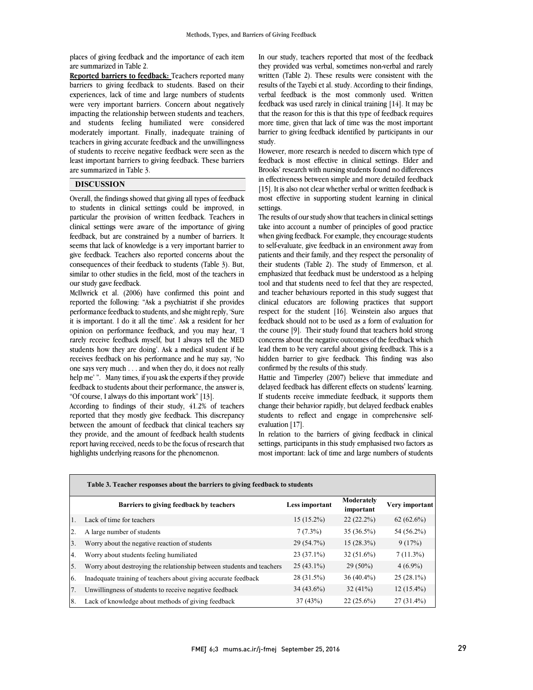places of giving feedback and the importance of each item are summarized in Table 2.

**Reported barriers to feedback:** Teachers reported many barriers to giving feedback to students. Based on their experiences, lack of time and large numbers of students were very important barriers. Concern about negatively impacting the relationship between students and teachers, and students feeling humiliated were considered moderately important. Finally, inadequate training of teachers in giving accurate feedback and the unwillingness of students to receive negative feedback were seen as the least important barriers to giving feedback. These barriers are summarized in Table 3.

### **DISCUSSION**

Overall, the findings showed that giving all types of feedback to students in clinical settings could be improved, in particular the provision of written feedback. Teachers in clinical settings were aware of the importance of giving feedback, but are constrained by a number of barriers. It seems that lack of knowledge is a very important barrier to give feedback. Teachers also reported concerns about the consequences of their feedback to students (Table 3). But, similar to other studies in the field, most of the teachers in our study gave feedback.

McIlwrick et al. (2006) have confirmed this point and reported the following: "Ask a psychiatrist if she provides performance feedback to students, and she might reply, 'Sure it is important. I do it all the time'. Ask a resident for her opinion on performance feedback, and you may hear, 'I rarely receive feedback myself, but I always tell the MED students how they are doing'. Ask a medical student if he receives feedback on his performance and he may say, 'No one says very much . . . and when they do, it does not really help me' ". Many times, if you ask the experts if they provide feedback to students about their performance, the answer is, "Of course, I always do this important work" [13].

According to findings of their study, 41.2% of teachers reported that they mostly give feedback. This discrepancy between the amount of feedback that clinical teachers say they provide, and the amount of feedback health students report having received, needs to be the focus of research that highlights underlying reasons for the phenomenon.

 In our study, teachers reported that most of the feedback they provided was verbal, sometimes non-verbal and rarely written (Table 2). These results were consistent with the results of the Tayebi et al. study. According to their findings, feedback was used rarely in clinical training [14]. It may be that the reason for this is that this type of feedback requires more time, given that lack of time was the most important barrier to giving feedback identified by participants in our verbal feedback is the most commonly used. Written study.

 However, more research is needed to discern which type of feedback is most effective in clinical settings. Elder and Brooks' research with nursing students found no differences in effectiveness between simple and more detailed feedback <sup>[17]</sup> This also not clear whether verbal of whiteh recuback is<br>most effective in supporting student learning in clinical settings. [15]. It is also not clear whether verbal or written feedback is

 The results of our study show that teachers in clinical settings take into account a number of principles of good practice to self-evaluate, give feedback in an environment away from patients and their family, and they respect the personality of their students (Table 2). The study of Emmerson, et al. emphasized that feedback must be understood as a helping and teacher behaviours reported in this study suggest that clinical educators are following practices that support respect for the student [16]. Weinstein also argues that feedback should not to be used as a form of evaluation for  $\frac{1}{2}$ . Then state found that data has stored  $\frac{1}{2}$  concerns about the negative outcomes of the feedback which lead them to be very careful about giving feedback. This is a hidden barrier to give feedback. This finding was also confirmed by the results of this study. when giving feedback. For example, they encourage students tool and that students need to feel that they are respected, the course [9]. Their study found that teachers hold strong

 delayed feedback has different effects on students' learning. If students receive immediate feedback, it supports them change their behavior rapidly, but delayed feedback enables students to reflect and engage in comprehensive self-Hattie and Timperley (2007) believe that immediate and evaluation [17].

In relation to the barriers of giving feedback in clinical settings, participants in this study emphasised two factors as most important: lack of time and large numbers of students

|                  | Table 3. Teacher responses about the barriers to giving feedback to students |                |                         |                |  |  |  |  |  |
|------------------|------------------------------------------------------------------------------|----------------|-------------------------|----------------|--|--|--|--|--|
|                  | Barriers to giving feedback by teachers                                      | Less important | Moderately<br>important | Very important |  |  |  |  |  |
| $\overline{1}$ . | Lack of time for teachers                                                    | $15(15.2\%)$   | $22(22.2\%)$            | $62(62.6\%)$   |  |  |  |  |  |
| 2.               | A large number of students                                                   | $7(7.3\%)$     | $35(36.5\%)$            | 54 (56.2%)     |  |  |  |  |  |
| 3.               | Worry about the negative reaction of students                                | 29 (54.7%)     | $15(28.3\%)$            | 9(17%)         |  |  |  |  |  |
| 4.               | Worry about students feeling humiliated                                      | 23 (37.1%)     | $32(51.6\%)$            | $7(11.3\%)$    |  |  |  |  |  |
| 5.               | Worry about destroying the relationship between students and teachers        | $25(43.1\%)$   | $29(50\%)$              | $4(6.9\%)$     |  |  |  |  |  |
| 6.               | Inadequate training of teachers about giving accurate feedback               | 28 (31.5%)     | $36(40.4\%)$            | $25(28.1\%)$   |  |  |  |  |  |
| 7.               | Unwillingness of students to receive negative feedback                       | $34(43.6\%)$   | 32(41%)                 | $12(15.4\%)$   |  |  |  |  |  |
| <sup>8.</sup>    | Lack of knowledge about methods of giving feedback                           | 37(43%)        | $22(25.6\%)$            | $27(31.4\%)$   |  |  |  |  |  |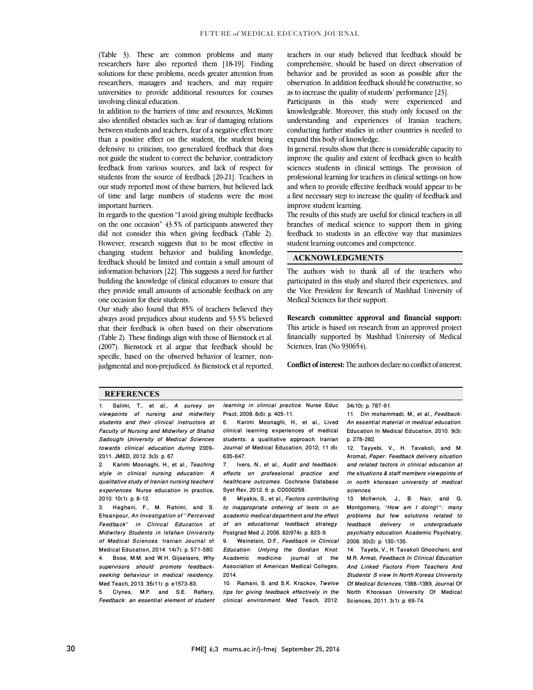(Table 3). These are common problems and many researchers have also reported them [18-19]. Finding solutions for these problems, needs greater attention from researchers, managers and teachers, and may require universities to provide additional resources for courses involving clinical education.

In addition to the barriers of time and resources, McKimm also identified obstacles such as: fear of damaging relations between students and teachers, fear of a negative effect more than a positive effect on the student, the student being defensive to criticism, too generalized feedback that does not guide the student to correct the behavior, contradictory feedback from various sources, and lack of respect for students from the source of feedback [20-21]. Teachers in our study reported most of these barriers, but believed lack of time and large numbers of students were the most important barriers.

In regards to the question "I avoid giving multiple feedbacks on the one occasion" 43.5% of participants answered they did not consider this when giving feedback (Table 2). However, research suggests that to be most effective in changing student behavior and building knowledge, feedback should be limited and contain a small amount of information behaviors [22]. This suggests a need for further building the knowledge of clinical educators to ensure that they provide small amounts of actionable feedback on any one occasion for their students.

Our study also found that 85% of teachers believed they always avoid prejudices about students and 53.5% believed that their feedback is often based on their observations (Table 2). These findings align with those of Bienstock et al. (2007). Bienstock et al argue that feedback should be specific, based on the observed behavior of learner, nonjudgmental and non-prejudiced. As Bienstock et al reported,

teachers in our study believed that feedback should be comprehensive, should be based on direct observation of behavior and be provided as soon as possible after the observation. In addition feedback should be constructive, so as to increase the quality of students' performance [23].

Participants in this study were experienced and knowledgeable. Moreover, this study only focused on the understanding and experiences of Iranian teachers; conducting further studies in other countries is needed to expand this body of knowledge.

In general, results show that there is considerable capacity to improve the quality and extent of feedback given to health sciences students in clinical settings. The provision of professional learning for teachers in clinical settings on how and when to provide effective feedback would appear to be a first necessary step to increase the quality of feedback and improve student learning.

The results of this study are useful for clinical teachers in all branches of medical science to support them in giving feedback to students in an effective way that maximizes student learning outcomes and competence.

## **ACKNOWLEDGMENTS**

The authors wish to thank all of the teachers who participated in this study and shared their experiences, and the Vice President for Research of Mashhad University of Medical Sciences for their support.

**Research committee approval and financial support:** This article is based on research from an approved project financially supported by Mashhad University of Medical Sciences, Iran (No 930654).

**Conflict of interest:** The authors declare no conflict of interest.

#### **REFERENCES**

1. Salimi, T., et al., *A survey on viewpoints of nursing and midwifery students and their clinical instructors at Faculty of Nursing and Midwifery of Shahid Sadoughi University of Medical Sciences towards clinical education during 2009- 2011.* JMED, 2012. 3(3): p. 67.

2. Karimi Moonaghi, H., et al., *Teaching style in clinical nursing education: A qualitative study of Iranian nursing teachers' experiences.* Nurse education in practice, 2010. 10(1): p. 8-12.

3. Haghani, F., M. Rahimi, and S. Ehsanpour, *An Investigation of "Perceived Feedback" in Clinical Education of Midwifery Students in Isfahan University of Medical Sciences.* Iranian Journal of Medical Education, 2014. 14(7): p. 571-580. 4. Bose, M.M. and W.H. Gijselaers, *Why supervisors should promote feedbackseeking behaviour in medical residency.* Med Teach, 2013. 35(11): p. e1573-83.

5. Clynes, M.P. and S.E. Raftery, *Feedback: an essential element of student*

*learning in clinical practice.* Nurse Educ Pract, 2008. 8(6): p. 405-11. 34(10): p. 787-91.

6. Karimi Moonaghi, H., et al., Lived clinical learning experiences of medical students: a qualitative approach. Iranian Journal of Medical Education, 2012; 11 (6): 635-647.

7. Ivers, N., et al., *Audit and feedback: effects on professional practice and healthcare outcomes.* Cochrane Database Syst Rev, 2012. 6: p. CD000259.

8. Miyakis, S., et al., *Factors contributing to inappropriate ordering of tests in an academic medical department and the effect of an educational feedback strategy.* Postgrad Med J, 2006. 82(974): p. 823-9.

9. Weinstein, D.F., *Feedback in Clinical Education: Untying the Gordian Knot.* Academic medicine: journal of the Association of American Medical Colleges, 2014.

10. Ramani, S. and S.K. Krackov, *Twelve tips for giving feedback effectively in the clinical environment.* Med Teach, 2012.

11. Din mohammadi, M., et al., *Feedback: An essential material in medical education.* Education In Medical Education, 2010. 9(3): p. 278-282.

12. Tayyebi, V., H. Tavakoli, and M. Aromat, *Paper: Feedback delivery situation and related factors in clinical education at the situations & staff members viewpoints of in north khorasan university of medical sciences.*

13. McIlwrick, J., B. Nair, and G. Montgomery, *"How am I doing?": many problems but few solutions related to feedback delivery in undergraduate psychiatry education.* Academic Psychiatry, 2006. 30(2): p. 130-135.

14. Tayebi, V., H. Tavakoli Ghoochani, and M.R. Armat, *Feedback In Clinical Education And Linked Factors From Teachers And Students' S view In North Koreas University Of Medical Sciences, 1388-1389.*Journal Of North Khorasan University Of Medical Sciences, 2011. 3(1): p. 69-74.